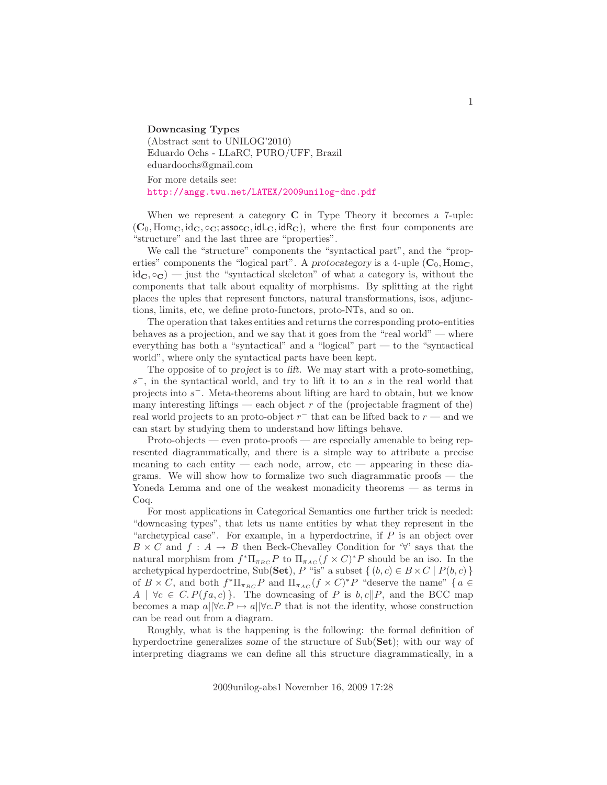Downcasing Types (Abstract sent to UNILOG'2010) Eduardo Ochs - LLaRC, PURO/UFF, Brazil eduardoochs@gmail.com

For more details see: <http://angg.twu.net/LATEX/2009unilog-dnc.pdf>

When we represent a category  $C$  in Type Theory it becomes a 7-uple:  $(C_0, \text{Hom}_\mathbf{C}, \text{id}_\mathbf{C}, \circ_\mathbf{C}; \text{assoc}_\mathbf{C}, \text{id}_\mathbf{C}, \text{id}_\mathbf{C})$ , where the first four components are "structure" and the last three are "properties".

We call the "structure" components the "syntactical part", and the "properties" components the "logical part". A protocategory is a 4-uple  $(C_0, \text{Hom}_C)$  $id_{\mathbf{C}}$ ,  $\circ_{\mathbf{C}}$  = just the "syntactical skeleton" of what a category is, without the components that talk about equality of morphisms. By splitting at the right places the uples that represent functors, natural transformations, isos, adjunctions, limits, etc, we define proto-functors, proto-NTs, and so on.

The operation that takes entities and returns the corresponding proto-entities behaves as a projection, and we say that it goes from the "real world" — where everything has both a "syntactical" and a "logical" part — to the "syntactical world", where only the syntactical parts have been kept.

The opposite of to project is to lift. We may start with a proto-something,  $s^-$ , in the syntactical world, and try to lift it to an s in the real world that projects into  $s^-$ . Meta-theorems about lifting are hard to obtain, but we know many interesting liftings — each object  $r$  of the (projectable fragment of the) real world projects to an proto-object  $r^-$  that can be lifted back to  $r$  — and we can start by studying them to understand how liftings behave.

Proto-objects — even proto-proofs — are especially amenable to being represented diagrammatically, and there is a simple way to attribute a precise meaning to each entity — each node, arrow,  $etc$  — appearing in these diagrams. We will show how to formalize two such diagrammatic proofs — the Yoneda Lemma and one of the weakest monadicity theorems — as terms in Coq.

For most applications in Categorical Semantics one further trick is needed: "downcasing types", that lets us name entities by what they represent in the "archetypical case". For example, in a hyperdoctrine, if  $P$  is an object over  $B \times C$  and  $f : A \to B$  then Beck-Chevalley Condition for ' $\forall$ ' says that the natural morphism from  $f^* \Pi_{\pi_{BC}} P$  to  $\Pi_{\pi_{AC}}(f \times C)^* P$  should be an iso. In the archetypical hyperdoctrine, Sub(Set), P "is" a subset  $\{(b, c) \in B \times C \mid P(b, c)\}\$ of  $B \times C$ , and both  $f^* \Pi_{\pi_{BC}} P$  and  $\Pi_{\pi_{AC}} (f \times C)^* P$  "deserve the name" {  $a \in$  $A \mid \forall c \in C. P(fa, c)$ . The downcasing of P is b,  $c||P$ , and the BCC map becomes a map  $a||\forall c.P \mapsto a||\forall c.P$  that is not the identity, whose construction can be read out from a diagram.

Roughly, what is the happening is the following: the formal definition of hyperdoctrine generalizes some of the structure of  $Sub(Set)$ ; with our way of interpreting diagrams we can define all this structure diagrammatically, in a

2009unilog-abs1 November 16, 2009 17:28